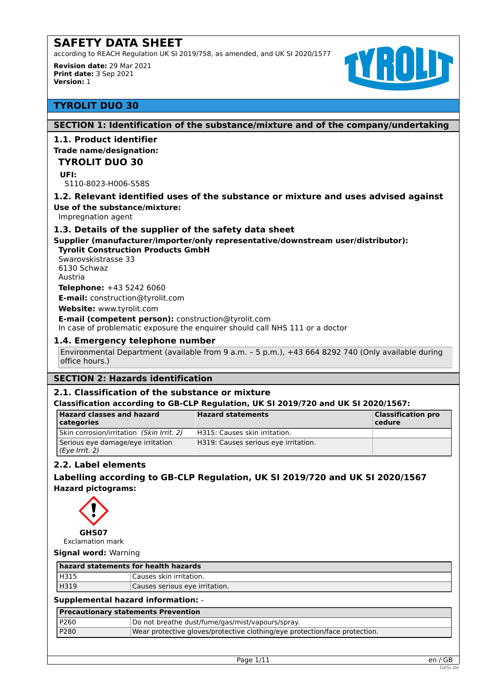according to REACH Regulation UK SI 2019/758, as amended, and UK SI 2020/1577

**Revision date:** 29 Mar 2021 **Print date:** 3 Sep 2021 **Version:** 1



# **TYROLIT DUO 30**

# **SECTION 1: Identification of the substance/mixture and of the company/undertaking**

# **1.1. Product identifier**

## **Trade name/designation:**

## **TYROLIT DUO 30**

**UFI:**

S110-8023-H006-S58S

## **1.2. Relevant identified uses of the substance or mixture and uses advised against**

#### **Use of the substance/mixture:**

Impregnation agent

#### **1.3. Details of the supplier of the safety data sheet**

## **Supplier (manufacturer/importer/only representative/downstream user/distributor):**

# **Tyrolit Construction Products GmbH**

Swarovskistrasse 33 6130 Schwaz Austria

**Telephone:** +43 5242 6060

**E-mail:** construction@tyrolit.com

**Website:** www.tyrolit.com

#### **E-mail (competent person):** construction@tyrolit.com

In case of problematic exposure the enquirer should call NHS 111 or a doctor

## **1.4. Emergency telephone number**

Environmental Department (available from 9 a.m. – 5 p.m.), +43 664 8292 740 (Only available during office hours.)

# **SECTION 2: Hazards identification**

#### **2.1. Classification of the substance or mixture**

#### **Classification according to GB-CLP Regulation, UK SI 2019/720 and UK SI 2020/1567:**

| <b>Hazard classes and hazard</b><br>categories      | <b>Hazard statements</b>             | <b>Classification pro</b><br>cedure |
|-----------------------------------------------------|--------------------------------------|-------------------------------------|
| Skin corrosion/irritation (Skin Irrit. 2)           | H315: Causes skin irritation.        |                                     |
| Serious eye damage/eye irritation<br>(Eye Irrit. 2) | H319: Causes serious eye irritation. |                                     |

# **2.2. Label elements**

**Labelling according to GB-CLP Regulation, UK SI 2019/720 and UK SI 2020/1567 Hazard pictograms:**



**Signal word:** Warning

|      | hazard statements for health hazards |  |
|------|--------------------------------------|--|
| H315 | Causes skin irritation.              |  |
| H319 | Causes serious eye irritation.       |  |

# **Supplemental hazard information:** -

| Precautionary statements Prevention |                                                                            |  |
|-------------------------------------|----------------------------------------------------------------------------|--|
| P260                                | Do not breathe dust/fume/gas/mist/vapours/spray.                           |  |
| P280                                | Wear protective gloves/protective clothing/eye protection/face protection. |  |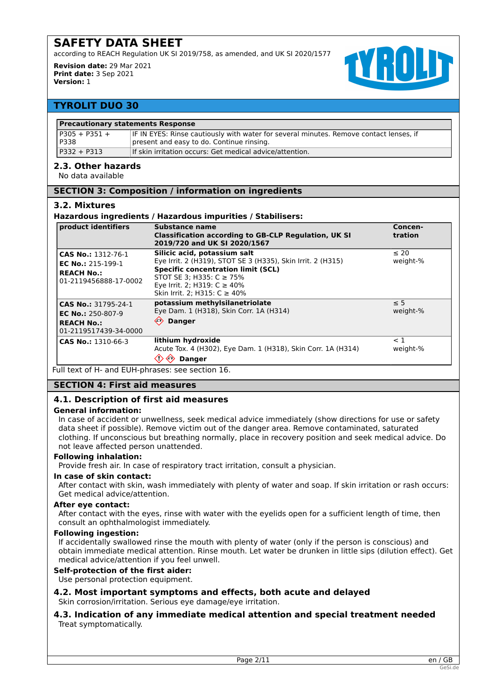according to REACH Regulation UK SI 2019/758, as amended, and UK SI 2020/1577

**Revision date:** 29 Mar 2021 **Print date:** 3 Sep 2021 **Version:** 1



# **TYROLIT DUO 30**

| l P305 + P351 +<br>P338 | IF IN EYES: Rinse cautiously with water for several minutes. Remove contact lenses, if<br>present and easy to do. Continue rinsing. |
|-------------------------|-------------------------------------------------------------------------------------------------------------------------------------|
| P332 + P313             | If skin irritation occurs: Get medical advice/attention.                                                                            |

## **2.3. Other hazards**

No data available

## **SECTION 3: Composition / information on ingredients**

#### **3.2. Mixtures**

#### **Hazardous ingredients / Hazardous impurities / Stabilisers:**

| product identifiers                                                                          | Substance name<br><b>Classification according to GB-CLP Regulation, UK SI</b><br>2019/720 and UK SI 2020/1567                                                                                                                                 | Concen-<br>tration    |
|----------------------------------------------------------------------------------------------|-----------------------------------------------------------------------------------------------------------------------------------------------------------------------------------------------------------------------------------------------|-----------------------|
| CAS No.: 1312-76-1<br><b>EC No.: 215-199-1</b><br><b>REACH No.:</b><br>01-2119456888-17-0002 | Silicic acid, potassium salt<br>Eye Irrit. 2 (H319), STOT SE 3 (H335), Skin Irrit. 2 (H315)<br><b>Specific concentration limit (SCL)</b><br>STOT SE 3; H335: $C \ge 75\%$<br>Eye Irrit. 2; H319: C ≥ 40%<br>Skin Irrit. 2: H315: $C \ge 40\%$ | $\leq 20$<br>weight-% |
| CAS No.: 31795-24-1<br>EC No.: $250-807-9$<br><b>REACH No.:</b><br>01-2119517439-34-0000     | potassium methylsilanetriolate<br>Eye Dam. 1 (H318), Skin Corr. 1A (H314)<br>$\Leftrightarrow$<br><b>Danger</b>                                                                                                                               | $\leq$ 5<br>weight-%  |
| CAS No.: 1310-66-3                                                                           | lithium hydroxide<br>Acute Tox. 4 (H302), Eye Dam. 1 (H318), Skin Corr. 1A (H314)<br><b>Danger</b>                                                                                                                                            | $<$ 1<br>weight-%     |

Full text of H- and EUH-phrases: see section 16.

#### **SECTION 4: First aid measures**

# **4.1. Description of first aid measures**

#### **General information:**

In case of accident or unwellness, seek medical advice immediately (show directions for use or safety data sheet if possible). Remove victim out of the danger area. Remove contaminated, saturated clothing. If unconscious but breathing normally, place in recovery position and seek medical advice. Do not leave affected person unattended.

#### **Following inhalation:**

Provide fresh air. In case of respiratory tract irritation, consult a physician.

#### **In case of skin contact:**

After contact with skin, wash immediately with plenty of water and soap. If skin irritation or rash occurs: Get medical advice/attention.

#### **After eye contact:**

After contact with the eyes, rinse with water with the eyelids open for a sufficient length of time, then consult an ophthalmologist immediately.

# **Following ingestion:**

If accidentally swallowed rinse the mouth with plenty of water (only if the person is conscious) and obtain immediate medical attention. Rinse mouth. Let water be drunken in little sips (dilution effect). Get medical advice/attention if you feel unwell.

# **Self-protection of the first aider:**

Use personal protection equipment.

# **4.2. Most important symptoms and effects, both acute and delayed**

Skin corrosion/irritation. Serious eye damage/eye irritation.

# **4.3. Indication of any immediate medical attention and special treatment needed** Treat symptomatically.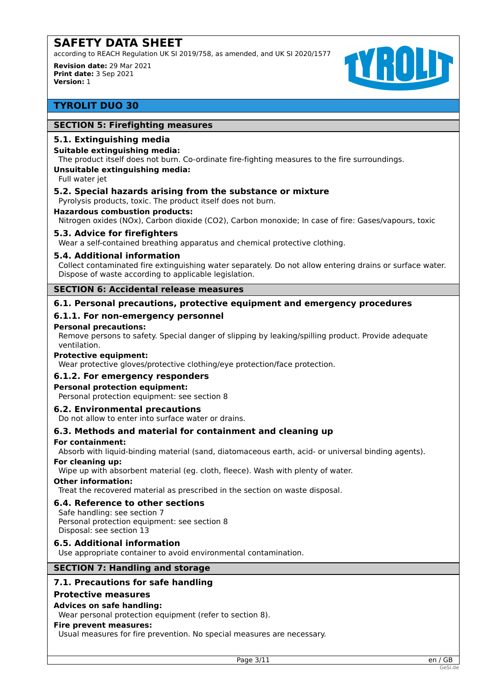according to REACH Regulation UK SI 2019/758, as amended, and UK SI 2020/1577

**Revision date:** 29 Mar 2021 **Print date:** 3 Sep 2021 **Version:** 1



# **TYROLIT DUO 30**

# **SECTION 5: Firefighting measures**

### **5.1. Extinguishing media**

## **Suitable extinguishing media:**

The product itself does not burn. Co-ordinate fire-fighting measures to the fire surroundings.

#### **Unsuitable extinguishing media:**

Full water jet

## **5.2. Special hazards arising from the substance or mixture**

Pyrolysis products, toxic. The product itself does not burn.

#### **Hazardous combustion products:**

Nitrogen oxides (NOx), Carbon dioxide (CO2), Carbon monoxide; In case of fire: Gases/vapours, toxic

#### **5.3. Advice for firefighters**

Wear a self-contained breathing apparatus and chemical protective clothing.

## **5.4. Additional information**

Collect contaminated fire extinguishing water separately. Do not allow entering drains or surface water. Dispose of waste according to applicable legislation.

## **SECTION 6: Accidental release measures**

# **6.1. Personal precautions, protective equipment and emergency procedures**

# **6.1.1. For non-emergency personnel**

#### **Personal precautions:**

Remove persons to safety. Special danger of slipping by leaking/spilling product. Provide adequate ventilation.

#### **Protective equipment:**

Wear protective gloves/protective clothing/eye protection/face protection.

#### **6.1.2. For emergency responders**

#### **Personal protection equipment:**

Personal protection equipment: see section 8

#### **6.2. Environmental precautions**

Do not allow to enter into surface water or drains.

# **6.3. Methods and material for containment and cleaning up**

#### **For containment:**

Absorb with liquid-binding material (sand, diatomaceous earth, acid- or universal binding agents).

#### **For cleaning up:**

Wipe up with absorbent material (eg. cloth, fleece). Wash with plenty of water.

#### **Other information:**

Treat the recovered material as prescribed in the section on waste disposal.

#### **6.4. Reference to other sections**

Safe handling: see section 7 Personal protection equipment: see section 8 Disposal: see section 13

#### **6.5. Additional information**

Use appropriate container to avoid environmental contamination.

# **SECTION 7: Handling and storage**

# **7.1. Precautions for safe handling**

# **Protective measures**

## **Advices on safe handling:**

Wear personal protection equipment (refer to section 8).

#### **Fire prevent measures:**

Usual measures for fire prevention. No special measures are necessary.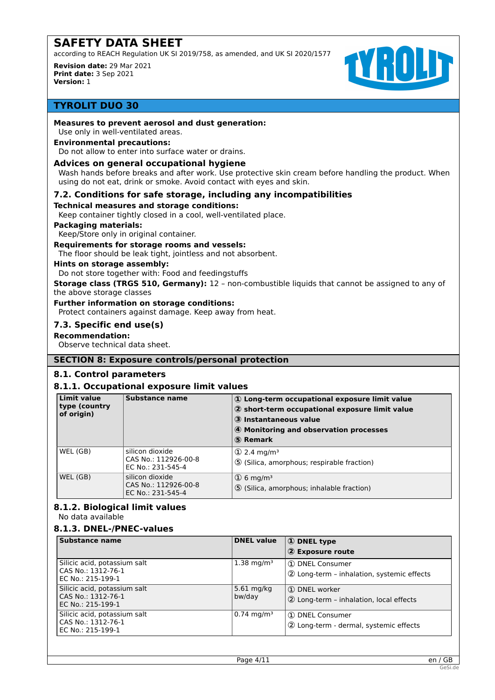according to REACH Regulation UK SI 2019/758, as amended, and UK SI 2020/1577

**Revision date:** 29 Mar 2021 **Print date:** 3 Sep 2021 **Version:** 1



# **TYROLIT DUO 30**

## **Measures to prevent aerosol and dust generation:**

Use only in well-ventilated areas.

## **Environmental precautions:**

Do not allow to enter into surface water or drains.

### **Advices on general occupational hygiene**

Wash hands before breaks and after work. Use protective skin cream before handling the product. When using do not eat, drink or smoke. Avoid contact with eyes and skin.

## **7.2. Conditions for safe storage, including any incompatibilities**

#### **Technical measures and storage conditions:**

Keep container tightly closed in a cool, well-ventilated place.

#### **Packaging materials:**

Keep/Store only in original container.

#### **Requirements for storage rooms and vessels:**

The floor should be leak tight, jointless and not absorbent.

## **Hints on storage assembly:**

Do not store together with: Food and feedingstuffs

**Storage class (TRGS 510, Germany):** 12 – non-combustible liquids that cannot be assigned to any of the above storage classes

#### **Further information on storage conditions:**

Protect containers against damage. Keep away from heat.

#### **7.3. Specific end use(s)**

#### **Recommendation:**

Observe technical data sheet.

#### **SECTION 8: Exposure controls/personal protection**

# **8.1. Control parameters**

# **8.1.1. Occupational exposure limit values**

| Limit value<br>type (country<br>of origin) | Substance name                                               | 1 Long-term occupational exposure limit value<br>2 short-term occupational exposure limit value<br>3 Instantaneous value<br>4 Monitoring and observation processes<br>5 Remark |
|--------------------------------------------|--------------------------------------------------------------|--------------------------------------------------------------------------------------------------------------------------------------------------------------------------------|
| WEL (GB)                                   | silicon dioxide<br>CAS No.: 112926-00-8<br>EC No.: 231-545-4 | $(1)$ 2.4 mg/m <sup>3</sup><br><b>5</b> (Silica, amorphous; respirable fraction)                                                                                               |
| WEL (GB)                                   | silicon dioxide<br>CAS No.: 112926-00-8<br>EC No.: 231-545-4 | $\Omega$ 6 mg/m <sup>3</sup><br>5 (Silica, amorphous; inhalable fraction)                                                                                                      |

# **8.1.2. Biological limit values**

No data available

# **8.1.3. DNEL-/PNEC-values**

| Substance name                                                          | <b>DNEL value</b>      | 1 DNEL type<br>2 Exposure route                               |
|-------------------------------------------------------------------------|------------------------|---------------------------------------------------------------|
| Silicic acid, potassium salt<br>CAS No.: 1312-76-1<br>EC No.: 215-199-1 | $1.38 \text{ mg/m}^3$  | 1 DNEL Consumer<br>2 Long-term - inhalation, systemic effects |
| Silicic acid, potassium salt<br>CAS No.: 1312-76-1<br>EC No.: 215-199-1 | $5.61$ mg/kg<br>bw/day | 1 DNEL worker<br>2 Long-term - inhalation, local effects      |
| Silicic acid, potassium salt<br>CAS No.: 1312-76-1<br>EC No.: 215-199-1 | $0.74 \text{ mg/m}^3$  | 1 DNEL Consumer<br>2 Long-term - dermal, systemic effects     |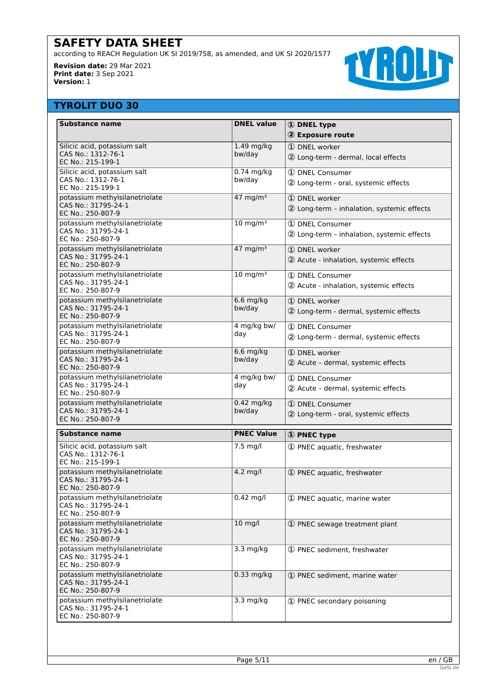according to REACH Regulation UK SI 2019/758, as amended, and UK SI 2020/1577

**Revision date:** 29 Mar 2021 **Print date:** 3 Sep 2021 **Version:** 1



# **TYROLIT DUO 30**

| <b>Substance name</b>                                                      | <b>DNEL value</b>      | <b>1</b> DNEL type                                            |
|----------------------------------------------------------------------------|------------------------|---------------------------------------------------------------|
|                                                                            |                        | 2 Exposure route                                              |
| Silicic acid, potassium salt<br>CAS No.: 1312-76-1<br>EC No.: 215-199-1    | 1.49 mg/kg<br>bw/day   | 1 DNEL worker<br>2 Long-term - dermal, local effects          |
| Silicic acid, potassium salt<br>CAS No.: 1312-76-1<br>EC No.: 215-199-1    | 0.74 mg/kg<br>bw/day   | 1 DNEL Consumer<br>2 Long-term - oral, systemic effects       |
| potassium methylsilanetriolate<br>CAS No.: 31795-24-1<br>EC No.: 250-807-9 | $47$ mg/m <sup>3</sup> | 1 DNEL worker<br>2 Long-term - inhalation, systemic effects   |
| potassium methylsilanetriolate<br>CAS No.: 31795-24-1<br>EC No.: 250-807-9 | $10 \text{ mg/m}^3$    | 1 DNEL Consumer<br>2 Long-term - inhalation, systemic effects |
| potassium methylsilanetriolate<br>CAS No.: 31795-24-1<br>EC No.: 250-807-9 | $47 \text{ mg/m}^3$    | 1 DNEL worker<br>2 Acute - inhalation, systemic effects       |
| potassium methylsilanetriolate<br>CAS No.: 31795-24-1<br>EC No.: 250-807-9 | $10 \text{ mg/m}^3$    | 1 DNEL Consumer<br>2 Acute - inhalation, systemic effects     |
| potassium methylsilanetriolate<br>CAS No.: 31795-24-1<br>EC No.: 250-807-9 | $6.6$ mg/kg<br>bw/day  | 1 DNEL worker<br>2 Long-term - dermal, systemic effects       |
| potassium methylsilanetriolate<br>CAS No.: 31795-24-1<br>EC No.: 250-807-9 | 4 mg/kg bw/<br>day     | 1 DNEL Consumer<br>2 Long-term - dermal, systemic effects     |
| potassium methylsilanetriolate<br>CAS No.: 31795-24-1<br>EC No.: 250-807-9 | $6.6$ mg/kg<br>bw/day  | $\Omega$ DNFL worker<br>2 Acute - dermal, systemic effects    |
| potassium methylsilanetriolate<br>CAS No.: 31795-24-1<br>EC No.: 250-807-9 | 4 mg/kg bw/<br>day     | 1 DNEL Consumer<br>2 Acute - dermal, systemic effects         |
| potassium methylsilanetriolate<br>CAS No.: 31795-24-1<br>EC No.: 250-807-9 | 0.42 mg/kg<br>bw/day   | 1 DNEL Consumer<br>2 Long-term - oral, systemic effects       |
| <b>Substance name</b>                                                      | <b>PNEC Value</b>      | 1 PNEC type                                                   |
| Silicic acid, potassium salt<br>CAS No.: 1312-76-1<br>EC No.: 215-199-1    | 7.5 mg/l               | 1 PNEC aquatic, freshwater                                    |
| potassium methylsilanetriolate<br>CAS No.: 31795-24-1<br>EC No.: 250-807-9 | 4.2 mg/l               | 1 PNEC aquatic, freshwater                                    |
| potassium methylsilanetriolate<br>CAS No.: 31795-24-1<br>EC No.: 250-807-9 | $0.42$ mg/l            | 1 PNEC aquatic, marine water                                  |
| potassium methylsilanetriolate<br>CAS No.: 31795-24-1<br>EC No.: 250-807-9 | $10$ mg/l              | 1 PNEC sewage treatment plant                                 |
| potassium methylsilanetriolate<br>CAS No.: 31795-24-1<br>EC No.: 250-807-9 | 3.3 mg/kg              | 1 PNEC sediment, freshwater                                   |
| potassium methylsilanetriolate<br>CAS No.: 31795-24-1<br>EC No.: 250-807-9 | 0.33 mg/kg             | 1 PNEC sediment, marine water                                 |
| potassium methylsilanetriolate<br>CAS No.: 31795-24-1<br>EC No.: 250-807-9 | 3.3 mg/kg              | 1 PNEC secondary poisoning                                    |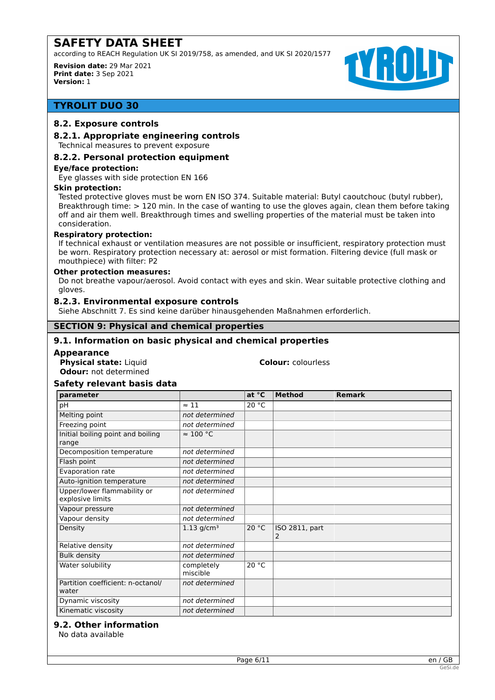according to REACH Regulation UK SI 2019/758, as amended, and UK SI 2020/1577

**Revision date:** 29 Mar 2021 **Print date:** 3 Sep 2021 **Version:** 1



# **TYROLIT DUO 30**

## **8.2. Exposure controls**

## **8.2.1. Appropriate engineering controls**

Technical measures to prevent exposure

## **8.2.2. Personal protection equipment**

#### **Eye/face protection:**

Eye glasses with side protection EN 166

#### **Skin protection:**

Tested protective gloves must be worn EN ISO 374. Suitable material: Butyl caoutchouc (butyl rubber), Breakthrough time: > 120 min. In the case of wanting to use the gloves again, clean them before taking off and air them well. Breakthrough times and swelling properties of the material must be taken into consideration.

#### **Respiratory protection:**

If technical exhaust or ventilation measures are not possible or insufficient, respiratory protection must be worn. Respiratory protection necessary at: aerosol or mist formation. Filtering device (full mask or mouthpiece) with filter: P2

#### **Other protection measures:**

Do not breathe vapour/aerosol. Avoid contact with eyes and skin. Wear suitable protective clothing and gloves.

#### **8.2.3. Environmental exposure controls**

Siehe Abschnitt 7. Es sind keine darüber hinausgehenden Maßnahmen erforderlich.

## **SECTION 9: Physical and chemical properties**

# **9.1. Information on basic physical and chemical properties**

#### **Appearance**

**Physical state:** Liquid **Colour:** colourless **Odour:** not determined

## **Safety relevant basis data**

| parameter                                       |                          | at °C | <b>Method</b>              | <b>Remark</b> |
|-------------------------------------------------|--------------------------|-------|----------------------------|---------------|
| pH                                              | $\approx$ 11             | 20 °C |                            |               |
| Melting point                                   | not determined           |       |                            |               |
| Freezing point                                  | not determined           |       |                            |               |
| Initial boiling point and boiling<br>range      | $\approx 100$ °C         |       |                            |               |
| Decomposition temperature                       | not determined           |       |                            |               |
| Flash point                                     | not determined           |       |                            |               |
| Evaporation rate                                | not determined           |       |                            |               |
| Auto-ignition temperature                       | not determined           |       |                            |               |
| Upper/lower flammability or<br>explosive limits | not determined           |       |                            |               |
| Vapour pressure                                 | not determined           |       |                            |               |
| Vapour density                                  | not determined           |       |                            |               |
| Density                                         | $1.13$ g/cm <sup>3</sup> | 20 °C | <b>ISO 2811, part</b><br>2 |               |
| Relative density                                | not determined           |       |                            |               |
| <b>Bulk density</b>                             | not determined           |       |                            |               |
| Water solubility                                | completely<br>miscible   | 20 °C |                            |               |
| Partition coefficient: n-octanol/<br>water      | not determined           |       |                            |               |
| Dynamic viscosity                               | not determined           |       |                            |               |
| Kinematic viscosity                             | not determined           |       |                            |               |

#### **9.2. Other information**

No data available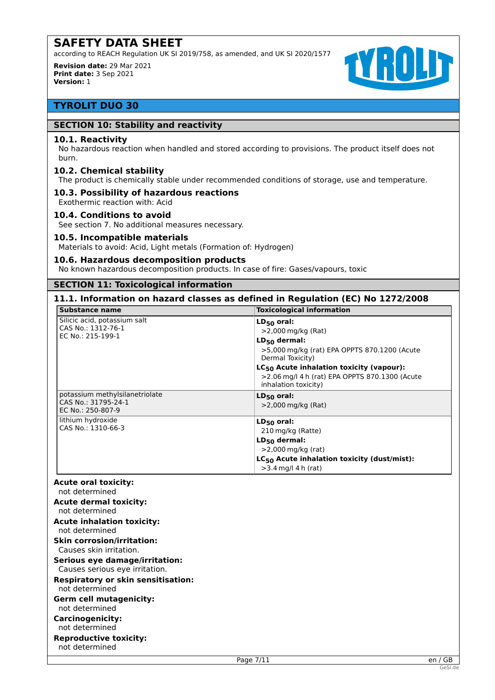according to REACH Regulation UK SI 2019/758, as amended, and UK SI 2020/1577

**Revision date:** 29 Mar 2021 **Print date:** 3 Sep 2021 **Version:** 1



# **TYROLIT DUO 30**

## **SECTION 10: Stability and reactivity**

#### **10.1. Reactivity**

No hazardous reaction when handled and stored according to provisions. The product itself does not burn.

#### **10.2. Chemical stability**

The product is chemically stable under recommended conditions of storage, use and temperature.

#### **10.3. Possibility of hazardous reactions** Exothermic reaction with: Acid

#### **10.4. Conditions to avoid**

See section 7. No additional measures necessary.

#### **10.5. Incompatible materials**

Materials to avoid: Acid, Light metals (Formation of: Hydrogen)

#### **10.6. Hazardous decomposition products**

No known hazardous decomposition products. In case of fire: Gases/vapours, toxic

# **SECTION 11: Toxicological information**

# **11.1. Information on hazard classes as defined in Regulation (EC) No 1272/2008**

| Substance name                                                             | <b>Toxicological information</b>                                                                                                    |
|----------------------------------------------------------------------------|-------------------------------------------------------------------------------------------------------------------------------------|
| Silicic acid, potassium salt<br>CAS No.: 1312-76-1<br>EC No.: 215-199-1    | $LD_{50}$ oral:<br>$>$ 2,000 mg/kg (Rat)<br>$LD_{50}$ dermal:<br>>5,000 mg/kg (rat) EPA OPPTS 870.1200 (Acute<br>Dermal Toxicity)   |
|                                                                            | $LC_{50}$ Acute inhalation toxicity (vapour):<br>>2.06 mg/l 4 h (rat) EPA OPPTS 870.1300 (Acute<br>inhalation toxicity)             |
| potassium methylsilanetriolate<br>CAS No.: 31795-24-1<br>EC No.: 250-807-9 | $LD_{50}$ oral:<br>$>$ 2,000 mg/kg (Rat)                                                                                            |
| lithium hydroxide<br>CAS No.: 1310-66-3                                    | $LD_{50}$ oral:<br>210 mg/kg (Ratte)<br>$LD_{50}$ dermal:<br>>2,000 mg/kg (rat)<br>$LC_{50}$ Acute inhalation toxicity (dust/mist): |
|                                                                            | $>3.4$ mg/l 4 h (rat)                                                                                                               |

# **Acute oral toxicity:**

not determined **Acute dermal toxicity:**

#### not determined

**Acute inhalation toxicity:** not determined

# **Skin corrosion/irritation:**

Causes skin irritation. **Serious eye damage/irritation:**

# Causes serious eye irritation.

**Respiratory or skin sensitisation:**

# not determined

**Germ cell mutagenicity:** not determined

# **Carcinogenicity:**

not determined

#### **Reproductive toxicity:** not determined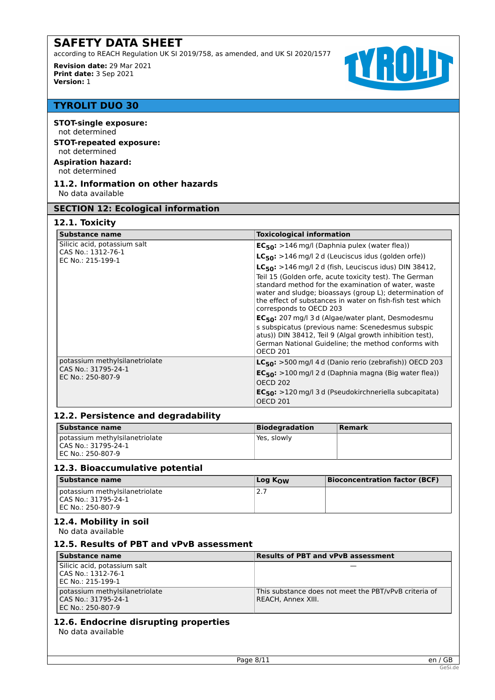according to REACH Regulation UK SI 2019/758, as amended, and UK SI 2020/1577

**Revision date:** 29 Mar 2021 **Print date:** 3 Sep 2021 **Version:** 1



# **TYROLIT DUO 30**

**STOT-single exposure:** not determined **STOT-repeated exposure:** not determined

# **Aspiration hazard:** not determined

#### **11.2. Information on other hazards** No data available

**SECTION 12: Ecological information**

# **12.1. Toxicity**

| Substance name                           | <b>Toxicological information</b>                                                                                                                                                                                                                                 |  |  |
|------------------------------------------|------------------------------------------------------------------------------------------------------------------------------------------------------------------------------------------------------------------------------------------------------------------|--|--|
| Silicic acid, potassium salt             | $EC_{50}$ : >146 mg/l (Daphnia pulex (water flea))                                                                                                                                                                                                               |  |  |
| CAS No.: 1312-76-1<br>EC No.: 215-199-1  | $LC_{50}$ : >146 mg/l 2 d (Leuciscus idus (golden orfe))                                                                                                                                                                                                         |  |  |
|                                          | $LC_{50}$ : >146 mg/l 2 d (fish, Leuciscus idus) DIN 38412,                                                                                                                                                                                                      |  |  |
|                                          | Teil 15 (Golden orfe, acute toxicity test). The German<br>standard method for the examination of water, waste<br>water and sludge; bioassays (group L); determination of<br>the effect of substances in water on fish-fish test which<br>corresponds to OECD 203 |  |  |
|                                          | EC <sub>50</sub> : 207 mg/l 3 d (Algae/water plant, Desmodesmu<br>s subspicatus (previous name: Scenedesmus subspic<br>atus)) DIN 38412, Teil 9 (Algal growth inhibition test),                                                                                  |  |  |
|                                          | German National Guideline; the method conforms with<br><b>OECD 201</b>                                                                                                                                                                                           |  |  |
| potassium methylsilanetriolate           | $LC_{50}$ : >500 mg/l 4 d (Danio rerio (zebrafish)) OECD 203                                                                                                                                                                                                     |  |  |
| CAS No.: 31795-24-1<br>EC No.: 250-807-9 | $EC_{50}$ : >100 mg/l 2 d (Daphnia magna (Big water flea))<br><b>OECD 202</b>                                                                                                                                                                                    |  |  |
|                                          | EC <sub>50</sub> : >120 mg/l 3 d (Pseudokirchneriella subcapitata)<br><b>OECD 201</b>                                                                                                                                                                            |  |  |

# **12.2. Persistence and degradability**

| Substance name                                                                 | Biodegradation | Remark |
|--------------------------------------------------------------------------------|----------------|--------|
| potassium methylsilanetriolate<br>I CAS No.: 31795-24-1<br>I EC No.: 250-807-9 | Yes, slowly    |        |

# **12.3. Bioaccumulative potential**

| Substance name                 | Log $K_{\Omega}$ | <b>Bioconcentration factor (BCF)</b> |
|--------------------------------|------------------|--------------------------------------|
| potassium methylsilanetriolate | 2.7              |                                      |
| LCAS No.: 31795-24-1           |                  |                                      |
| I EC No.: 250-807-9            |                  |                                      |

# **12.4. Mobility in soil**

No data available

# **12.5. Results of PBT and vPvB assessment**

| Substance name                                                             | <b>Results of PBT and vPvB assessment</b>                                   |
|----------------------------------------------------------------------------|-----------------------------------------------------------------------------|
| Silicic acid, potassium salt<br>l CAS No.: 1312-76-1<br>EC No.: 215-199-1  |                                                                             |
| potassium methylsilanetriolate<br>CAS No.: 31795-24-1<br>EC No.: 250-807-9 | This substance does not meet the PBT/vPvB criteria of<br>REACH, Annex XIII. |

# **12.6. Endocrine disrupting properties**

No data available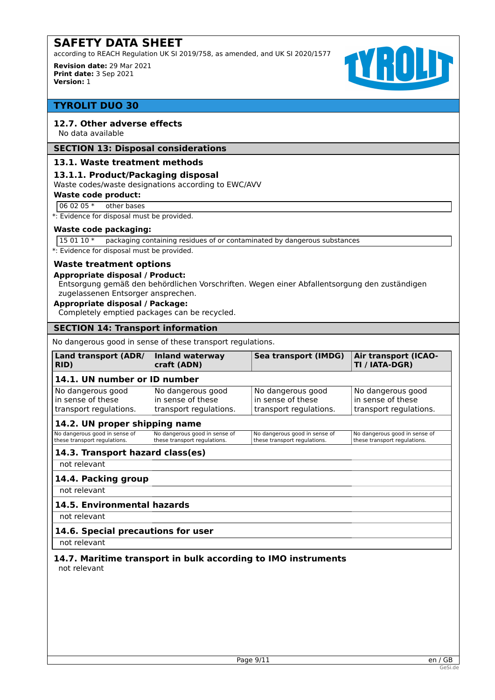according to REACH Regulation UK SI 2019/758, as amended, and UK SI 2020/1577

**Revision date:** 29 Mar 2021 **Print date:** 3 Sep 2021 **Version:** 1



# **TYROLIT DUO 30**

# **12.7. Other adverse effects**

No data available

#### **SECTION 13: Disposal considerations**

### **13.1. Waste treatment methods**

#### **13.1.1. Product/Packaging disposal**

Waste codes/waste designations according to EWC/AVV

#### **Waste code product:**

 $060205*$  other bases

\*: Evidence for disposal must be provided.

#### **Waste code packaging:**

15 01 10 \* packaging containing residues of or contaminated by dangerous substances

\*: Evidence for disposal must be provided.

#### **Waste treatment options**

#### **Appropriate disposal / Product:**

Entsorgung gemäß den behördlichen Vorschriften. Wegen einer Abfallentsorgung den zuständigen zugelassenen Entsorger ansprechen.

#### **Appropriate disposal / Package:**

Completely emptied packages can be recycled.

#### **SECTION 14: Transport information**

No dangerous good in sense of these transport regulations.

| Land transport (ADR/<br>RID)                                     | <b>Inland waterway</b><br>craft (ADN)                            | <b>Sea transport (IMDG)</b>                                      | <b>Air transport (ICAO-</b><br>TI / IATA-DGR)                    |
|------------------------------------------------------------------|------------------------------------------------------------------|------------------------------------------------------------------|------------------------------------------------------------------|
| 14.1. UN number or ID number                                     |                                                                  |                                                                  |                                                                  |
| No dangerous good<br>in sense of these<br>transport regulations. | No dangerous good<br>in sense of these<br>transport regulations. | No dangerous good<br>in sense of these<br>transport regulations. | No dangerous good<br>in sense of these<br>transport regulations. |
| 14.2. UN proper shipping name                                    |                                                                  |                                                                  |                                                                  |
| No dangerous good in sense of<br>these transport regulations.    | No dangerous good in sense of<br>these transport regulations.    | No dangerous good in sense of<br>these transport regulations.    | No dangerous good in sense of<br>these transport regulations.    |
| 14.3. Transport hazard class(es)                                 |                                                                  |                                                                  |                                                                  |
| not relevant                                                     |                                                                  |                                                                  |                                                                  |

# **14.4. Packing group**

not relevant

# **14.5. Environmental hazards**

not relevant

# **14.6. Special precautions for user**

not relevant

#### **14.7. Maritime transport in bulk according to IMO instruments** not relevant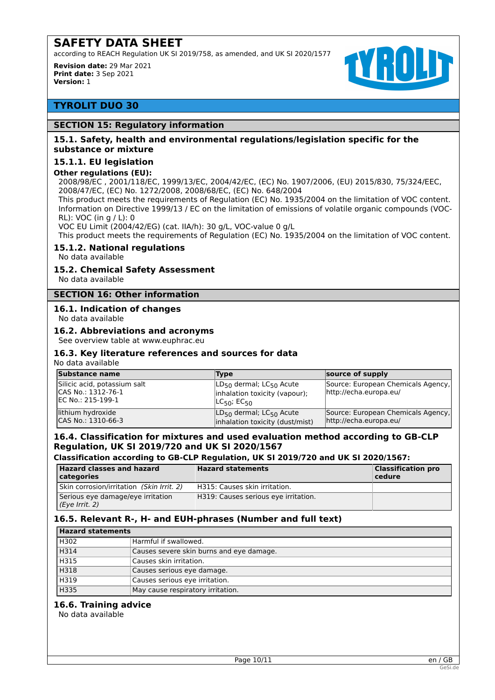according to REACH Regulation UK SI 2019/758, as amended, and UK SI 2020/1577

**Revision date:** 29 Mar 2021 **Print date:** 3 Sep 2021 **Version:** 1



# **TYROLIT DUO 30**

## **SECTION 15: Regulatory information**

## **15.1. Safety, health and environmental regulations/legislation specific for the substance or mixture**

## **15.1.1. EU legislation**

#### **Other regulations (EU):**

2008/98/EC , 2001/118/EC, 1999/13/EC, 2004/42/EC, (EC) No. 1907/2006, (EU) 2015/830, 75/324/EEC, 2008/47/EC, (EC) No. 1272/2008, 2008/68/EC, (EC) No. 648/2004

This product meets the requirements of Regulation (EC) No. 1935/2004 on the limitation of VOC content. Information on Directive 1999/13 / EC on the limitation of emissions of volatile organic compounds (VOC-RL): VOC (in g / L): 0

VOC EU Limit (2004/42/EG) (cat. IIA/h): 30 g/L, VOC-value 0 g/L

This product meets the requirements of Regulation (EC) No. 1935/2004 on the limitation of VOC content.

## **15.1.2. National regulations**

No data available

## **15.2. Chemical Safety Assessment**

No data available

# **SECTION 16: Other information**

## **16.1. Indication of changes**

No data available

#### **16.2. Abbreviations and acronyms**

See overview table at www.euphrac.eu

### **16.3. Key literature references and sources for data**

No data available

| Substance name                                                            | <b>Type</b>                                                                                         | source of supply                                             |
|---------------------------------------------------------------------------|-----------------------------------------------------------------------------------------------------|--------------------------------------------------------------|
| Silicic acid, potassium salt<br>ICAS No.: 1312-76-1<br>IEC No.: 215-199-1 | $ LD_{50}$ dermal; $LC_{50}$ Acute<br>inhalation toxicity (vapour);<br>$LC_{50}$ ; EC <sub>50</sub> | Source: European Chemicals Agency,<br>http://echa.europa.eu/ |
| lithium hydroxide<br>CAS No.: 1310-66-3                                   | $ LD_{50}$ dermal; $LC_{50}$ Acute<br>inhalation toxicity (dust/mist)                               | Source: European Chemicals Agency,<br>http://echa.europa.eu/ |

# **16.4. Classification for mixtures and used evaluation method according to GB-CLP Regulation, UK SI 2019/720 and UK SI 2020/1567**

#### **Classification according to GB-CLP Regulation, UK SI 2019/720 and UK SI 2020/1567:**

| <b>Hazard classes and hazard</b><br>  categories    | <b>Hazard statements</b>             | <b>Classification pro</b><br>cedure |
|-----------------------------------------------------|--------------------------------------|-------------------------------------|
| Skin corrosion/irritation (Skin Irrit. 2)           | H315: Causes skin irritation.        |                                     |
| Serious eye damage/eye irritation<br>(Eye Irrit. 2) | H319: Causes serious eye irritation. |                                     |

# **16.5. Relevant R-, H- and EUH-phrases (Number and full text)**

| <b>Hazard statements</b> |                                          |
|--------------------------|------------------------------------------|
| H302                     | Harmful if swallowed.                    |
| H314                     | Causes severe skin burns and eye damage. |
| H315                     | Causes skin irritation.                  |
| H318                     | Causes serious eye damage.               |
| H319                     | Causes serious eye irritation.           |
| H335                     | May cause respiratory irritation.        |

#### **16.6. Training advice**

No data available